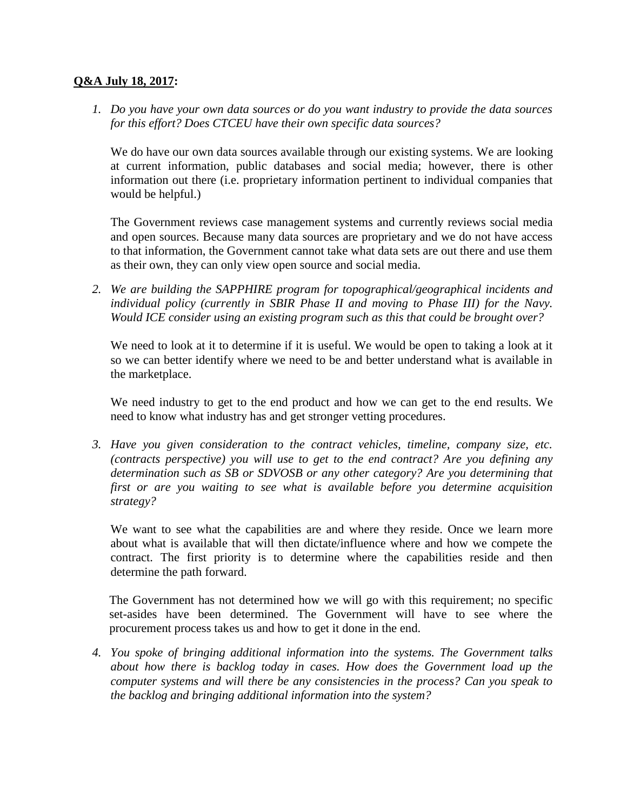## **Q&A July 18, 2017:**

*1. Do you have your own data sources or do you want industry to provide the data sources for this effort? Does CTCEU have their own specific data sources?*

We do have our own data sources available through our existing systems. We are looking at current information, public databases and social media; however, there is other information out there (i.e. proprietary information pertinent to individual companies that would be helpful.)

The Government reviews case management systems and currently reviews social media and open sources. Because many data sources are proprietary and we do not have access to that information, the Government cannot take what data sets are out there and use them as their own, they can only view open source and social media.

*2. We are building the SAPPHIRE program for topographical/geographical incidents and individual policy (currently in SBIR Phase II and moving to Phase III) for the Navy. Would ICE consider using an existing program such as this that could be brought over?*

We need to look at it to determine if it is useful. We would be open to taking a look at it so we can better identify where we need to be and better understand what is available in the marketplace.

We need industry to get to the end product and how we can get to the end results. We need to know what industry has and get stronger vetting procedures.

*3. Have you given consideration to the contract vehicles, timeline, company size, etc. (contracts perspective) you will use to get to the end contract? Are you defining any determination such as SB or SDVOSB or any other category? Are you determining that first or are you waiting to see what is available before you determine acquisition strategy?*

We want to see what the capabilities are and where they reside. Once we learn more about what is available that will then dictate/influence where and how we compete the contract. The first priority is to determine where the capabilities reside and then determine the path forward.

The Government has not determined how we will go with this requirement; no specific set-asides have been determined. The Government will have to see where the procurement process takes us and how to get it done in the end.

*4. You spoke of bringing additional information into the systems. The Government talks about how there is backlog today in cases. How does the Government load up the computer systems and will there be any consistencies in the process? Can you speak to the backlog and bringing additional information into the system?*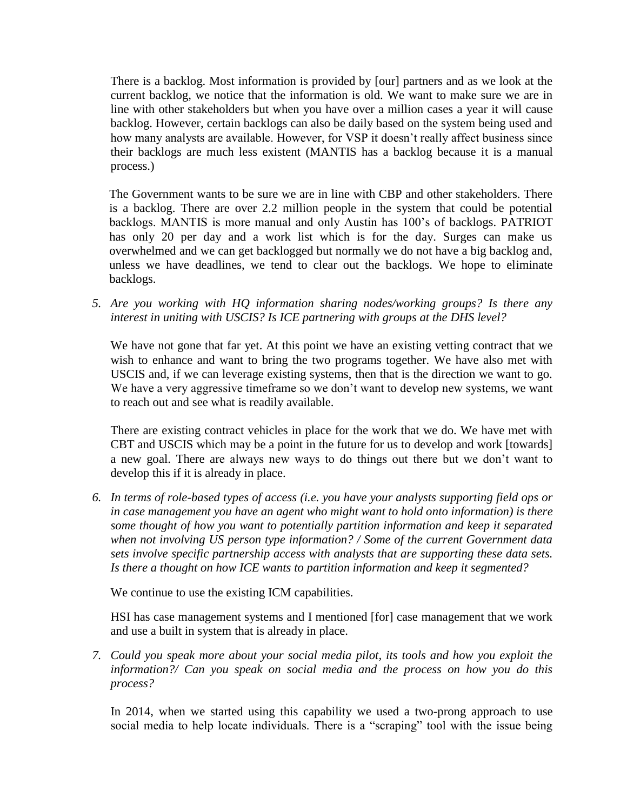There is a backlog. Most information is provided by [our] partners and as we look at the current backlog, we notice that the information is old. We want to make sure we are in line with other stakeholders but when you have over a million cases a year it will cause backlog. However, certain backlogs can also be daily based on the system being used and how many analysts are available. However, for VSP it doesn't really affect business since their backlogs are much less existent (MANTIS has a backlog because it is a manual process.)

The Government wants to be sure we are in line with CBP and other stakeholders. There is a backlog. There are over 2.2 million people in the system that could be potential backlogs. MANTIS is more manual and only Austin has 100's of backlogs. PATRIOT has only 20 per day and a work list which is for the day. Surges can make us overwhelmed and we can get backlogged but normally we do not have a big backlog and, unless we have deadlines, we tend to clear out the backlogs. We hope to eliminate backlogs.

*5. Are you working with HQ information sharing nodes/working groups? Is there any interest in uniting with USCIS? Is ICE partnering with groups at the DHS level?*

We have not gone that far yet. At this point we have an existing vetting contract that we wish to enhance and want to bring the two programs together. We have also met with USCIS and, if we can leverage existing systems, then that is the direction we want to go. We have a very aggressive timeframe so we don't want to develop new systems, we want to reach out and see what is readily available.

There are existing contract vehicles in place for the work that we do. We have met with CBT and USCIS which may be a point in the future for us to develop and work [towards] a new goal. There are always new ways to do things out there but we don't want to develop this if it is already in place.

*6. In terms of role-based types of access (i.e. you have your analysts supporting field ops or in case management you have an agent who might want to hold onto information) is there some thought of how you want to potentially partition information and keep it separated when not involving US person type information? / Some of the current Government data sets involve specific partnership access with analysts that are supporting these data sets. Is there a thought on how ICE wants to partition information and keep it segmented?*

We continue to use the existing ICM capabilities.

HSI has case management systems and I mentioned [for] case management that we work and use a built in system that is already in place.

*7. Could you speak more about your social media pilot, its tools and how you exploit the information?/ Can you speak on social media and the process on how you do this process?*

In 2014, when we started using this capability we used a two-prong approach to use social media to help locate individuals. There is a "scraping" tool with the issue being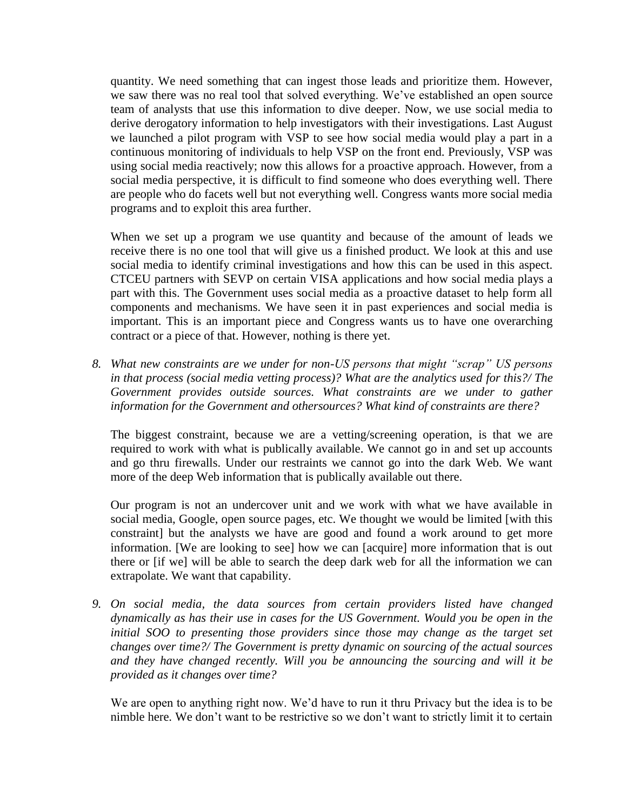quantity. We need something that can ingest those leads and prioritize them. However, we saw there was no real tool that solved everything. We've established an open source team of analysts that use this information to dive deeper. Now, we use social media to derive derogatory information to help investigators with their investigations. Last August we launched a pilot program with VSP to see how social media would play a part in a continuous monitoring of individuals to help VSP on the front end. Previously, VSP was using social media reactively; now this allows for a proactive approach. However, from a social media perspective, it is difficult to find someone who does everything well. There are people who do facets well but not everything well. Congress wants more social media programs and to exploit this area further.

When we set up a program we use quantity and because of the amount of leads we receive there is no one tool that will give us a finished product. We look at this and use social media to identify criminal investigations and how this can be used in this aspect. CTCEU partners with SEVP on certain VISA applications and how social media plays a part with this. The Government uses social media as a proactive dataset to help form all components and mechanisms. We have seen it in past experiences and social media is important. This is an important piece and Congress wants us to have one overarching contract or a piece of that. However, nothing is there yet.

*8. What new constraints are we under for non-US persons that might "scrap" US persons in that process (social media vetting process)? What are the analytics used for this?/ The*  Government provides outside sources. What constraints are we under to gather *information for the Government and othersources? What kind of constraints are there?*

The biggest constraint, because we are a vetting/screening operation, is that we are required to work with what is publically available. We cannot go in and set up accounts and go thru firewalls. Under our restraints we cannot go into the dark Web. We want more of the deep Web information that is publically available out there.

Our program is not an undercover unit and we work with what we have available in social media, Google, open source pages, etc. We thought we would be limited [with this constraint] but the analysts we have are good and found a work around to get more information. [We are looking to see] how we can [acquire] more information that is out there or [if we] will be able to search the deep dark web for all the information we can extrapolate. We want that capability.

*9. On social media, the data sources from certain providers listed have changed dynamically as has their use in cases for the US Government. Would you be open in the*  initial SOO to presenting those providers since those may change as the target set *changes over time?/ The Government is pretty dynamic on sourcing of the actual sources and they have changed recently. Will you be announcing the sourcing and will it be provided as it changes over time?*

We are open to anything right now. We'd have to run it thru Privacy but the idea is to be nimble here. We don't want to be restrictive so we don't want to strictly limit it to certain